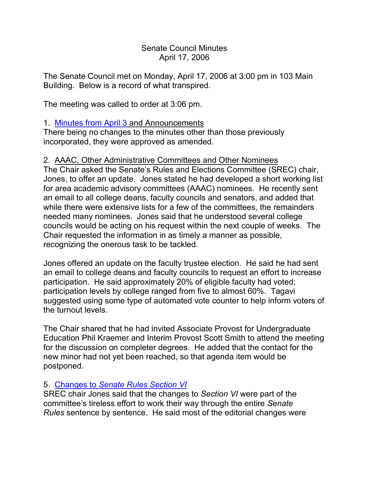## Senate Council Minutes April 17, 2006

The Senate Council met on Monday, April 17, 2006 at 3:00 pm in 103 Main Building. Below is a record of what transpired.

The meeting was called to order at 3:06 pm.

## 1. [Minutes from April 3](http://www.uky.edu/USC/New/SCMinutes/2005-2006/SC%20Minutes%20April%203%202006%20TO%20SC%20FINAL.htm) and Announcements

There being no changes to the minutes other than those previously incorporated, they were approved as amended.

## 2. AAAC, Other Administrative Committees and Other Nominees

The Chair asked the Senate's Rules and Elections Committee (SREC) chair, Jones, to offer an update. Jones stated he had developed a short working list for area academic advisory committees (AAAC) nominees. He recently sent an email to all college deans, faculty councils and senators, and added that while there were extensive lists for a few of the committees, the remainders needed many nominees. Jones said that he understood several college councils would be acting on his request within the next couple of weeks. The Chair requested the information in as timely a manner as possible, recognizing the onerous task to be tackled.

Jones offered an update on the faculty trustee election. He said he had sent an email to college deans and faculty councils to request an effort to increase participation. He said approximately 20% of eligible faculty had voted; participation levels by college ranged from five to almost 60%. Tagavi suggested using some type of automated vote counter to help inform voters of the turnout levels.

The Chair shared that he had invited Associate Provost for Undergraduate Education Phil Kraemer and Interim Provost Scott Smith to attend the meeting for the discussion on completer degrees. He added that the contact for the new minor had not yet been reached, so that agenda item would be postponed.

## 5. Changes to *[Senate Rules](http://www.uky.edu/USC/New/SCAgendas/20060417/Section%20VI%20DRAFT%2001-10-06.pdf) Section VI*

SREC chair Jones said that the changes to *Section VI* were part of the committee's tireless effort to work their way through the entire *Senate Rules* sentence by sentence. He said most of the editorial changes were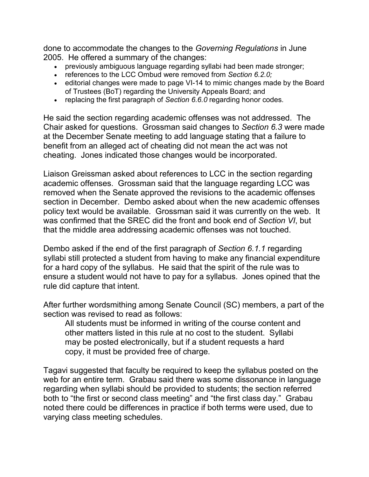done to accommodate the changes to the *Governing Regulations* in June 2005. He offered a summary of the changes:

- previously ambiguous language regarding syllabi had been made stronger;
- references to the LCC Ombud were removed from *Section 6.2.0;*
- editorial changes were made to page VI-14 to mimic changes made by the Board of Trustees (BoT) regarding the University Appeals Board; and
- replacing the first paragraph of *Section 6.6.0* regarding honor codes.

He said the section regarding academic offenses was not addressed. The Chair asked for questions. Grossman said changes to *Section 6.3* were made at the December Senate meeting to add language stating that a failure to benefit from an alleged act of cheating did not mean the act was not cheating. Jones indicated those changes would be incorporated.

Liaison Greissman asked about references to LCC in the section regarding academic offenses. Grossman said that the language regarding LCC was removed when the Senate approved the revisions to the academic offenses section in December. Dembo asked about when the new academic offenses policy text would be available. Grossman said it was currently on the web. It was confirmed that the SREC did the front and book end of *Section VI*, but that the middle area addressing academic offenses was not touched.

Dembo asked if the end of the first paragraph of *Section 6.1.1* regarding syllabi still protected a student from having to make any financial expenditure for a hard copy of the syllabus. He said that the spirit of the rule was to ensure a student would not have to pay for a syllabus. Jones opined that the rule did capture that intent.

After further wordsmithing among Senate Council (SC) members, a part of the section was revised to read as follows:

All students must be informed in writing of the course content and other matters listed in this rule at no cost to the student. Syllabi may be posted electronically, but if a student requests a hard copy, it must be provided free of charge.

Tagavi suggested that faculty be required to keep the syllabus posted on the web for an entire term. Grabau said there was some dissonance in language regarding when syllabi should be provided to students; the section referred both to "the first or second class meeting" and "the first class day." Grabau noted there could be differences in practice if both terms were used, due to varying class meeting schedules.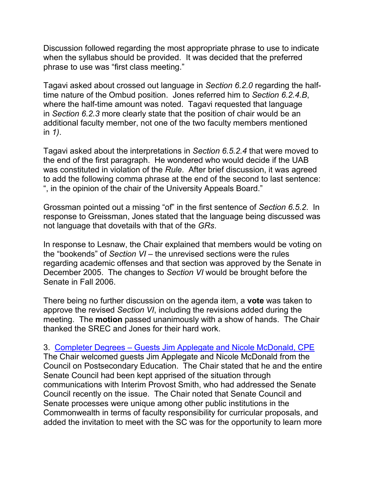Discussion followed regarding the most appropriate phrase to use to indicate when the syllabus should be provided. It was decided that the preferred phrase to use was "first class meeting."

Tagavi asked about crossed out language in *Section 6.2.0* regarding the halftime nature of the Ombud position. Jones referred him to *Section 6.2.4.B*, where the half-time amount was noted. Tagavi requested that language in *Section 6.2.3* more clearly state that the position of chair would be an additional faculty member, not one of the two faculty members mentioned in *1)*.

Tagavi asked about the interpretations in *Section 6.5.2.4* that were moved to the end of the first paragraph. He wondered who would decide if the UAB was constituted in violation of the *Rule*. After brief discussion, it was agreed to add the following comma phrase at the end of the second to last sentence: ", in the opinion of the chair of the University Appeals Board."

Grossman pointed out a missing "of" in the first sentence of *Section 6.5.2*. In response to Greissman, Jones stated that the language being discussed was not language that dovetails with that of the *GRs*.

In response to Lesnaw, the Chair explained that members would be voting on the "bookends" of *Section VI* – the unrevised sections were the rules regarding academic offenses and that section was approved by the Senate in December 2005. The changes to *Section VI* would be brought before the Senate in Fall 2006.

There being no further discussion on the agenda item, a **vote** was taken to approve the revised *Section VI*, including the revisions added during the meeting. The **motion** passed unanimously with a show of hands. The Chair thanked the SREC and Jones for their hard work.

3. Completer Degrees – [Guests Jim Applegate and Nicole McDonald, CPE](http://www.uky.edu/USC/New/SCAgendas/20060417/Completer%20Degrees.pdf) The Chair welcomed guests Jim Applegate and Nicole McDonald from the Council on Postsecondary Education. The Chair stated that he and the entire Senate Council had been kept apprised of the situation through communications with Interim Provost Smith, who had addressed the Senate Council recently on the issue. The Chair noted that Senate Council and Senate processes were unique among other public institutions in the Commonwealth in terms of faculty responsibility for curricular proposals, and added the invitation to meet with the SC was for the opportunity to learn more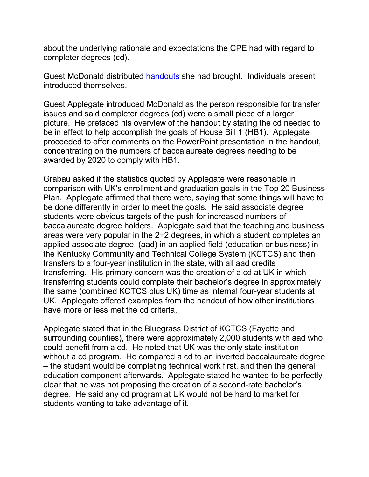about the underlying rationale and expectations the CPE had with regard to completer degrees (cd).

Guest McDonald distributed [handouts](http://www.uky.edu/USC/New/SCAgendas/20060417/Completer%20Degree%20Handout.pdf) she had brought. Individuals present introduced themselves.

Guest Applegate introduced McDonald as the person responsible for transfer issues and said completer degrees (cd) were a small piece of a larger picture. He prefaced his overview of the handout by stating the cd needed to be in effect to help accomplish the goals of House Bill 1 (HB1). Applegate proceeded to offer comments on the PowerPoint presentation in the handout, concentrating on the numbers of baccalaureate degrees needing to be awarded by 2020 to comply with HB1.

Grabau asked if the statistics quoted by Applegate were reasonable in comparison with UK's enrollment and graduation goals in the Top 20 Business Plan. Applegate affirmed that there were, saying that some things will have to be done differently in order to meet the goals. He said associate degree students were obvious targets of the push for increased numbers of baccalaureate degree holders. Applegate said that the teaching and business areas were very popular in the 2+2 degrees, in which a student completes an applied associate degree (aad) in an applied field (education or business) in the Kentucky Community and Technical College System (KCTCS) and then transfers to a four-year institution in the state, with all aad credits transferring. His primary concern was the creation of a cd at UK in which transferring students could complete their bachelor's degree in approximately the same (combined KCTCS plus UK) time as internal four-year students at UK. Applegate offered examples from the handout of how other institutions have more or less met the cd criteria.

Applegate stated that in the Bluegrass District of KCTCS (Fayette and surrounding counties), there were approximately 2,000 students with aad who could benefit from a cd. He noted that UK was the only state institution without a cd program. He compared a cd to an inverted baccalaureate degree – the student would be completing technical work first, and then the general education component afterwards. Applegate stated he wanted to be perfectly clear that he was not proposing the creation of a second-rate bachelor's degree. He said any cd program at UK would not be hard to market for students wanting to take advantage of it.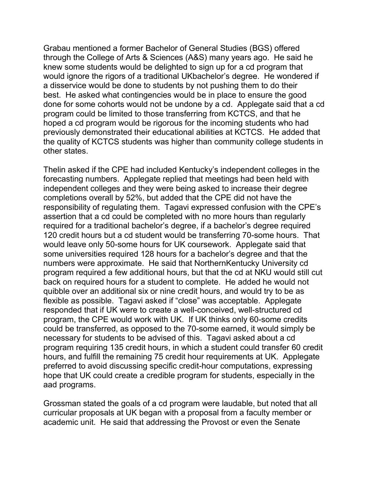Grabau mentioned a former Bachelor of General Studies (BGS) offered through the College of Arts & Sciences (A&S) many years ago. He said he knew some students would be delighted to sign up for a cd program that would ignore the rigors of a traditional UKbachelor's degree. He wondered if a disservice would be done to students by not pushing them to do their best. He asked what contingencies would be in place to ensure the good done for some cohorts would not be undone by a cd. Applegate said that a cd program could be limited to those transferring from KCTCS, and that he hoped a cd program would be rigorous for the incoming students who had previously demonstrated their educational abilities at KCTCS. He added that the quality of KCTCS students was higher than community college students in other states.

Thelin asked if the CPE had included Kentucky's independent colleges in the forecasting numbers. Applegate replied that meetings had been held with independent colleges and they were being asked to increase their degree completions overall by 52%, but added that the CPE did not have the responsibility of regulating them. Tagavi expressed confusion with the CPE's assertion that a cd could be completed with no more hours than regularly required for a traditional bachelor's degree, if a bachelor's degree required 120 credit hours but a cd student would be transferring 70-some hours. That would leave only 50-some hours for UK coursework. Applegate said that some universities required 128 hours for a bachelor's degree and that the numbers were approximate. He said that NorthernKentucky University cd program required a few additional hours, but that the cd at NKU would still cut back on required hours for a student to complete. He added he would not quibble over an additional six or nine credit hours, and would try to be as flexible as possible. Tagavi asked if "close" was acceptable. Applegate responded that if UK were to create a well-conceived, well-structured cd program, the CPE would work with UK. If UK thinks only 60-some credits could be transferred, as opposed to the 70-some earned, it would simply be necessary for students to be advised of this. Tagavi asked about a cd program requiring 135 credit hours, in which a student could transfer 60 credit hours, and fulfill the remaining 75 credit hour requirements at UK. Applegate preferred to avoid discussing specific credit-hour computations, expressing hope that UK could create a credible program for students, especially in the aad programs.

Grossman stated the goals of a cd program were laudable, but noted that all curricular proposals at UK began with a proposal from a faculty member or academic unit. He said that addressing the Provost or even the Senate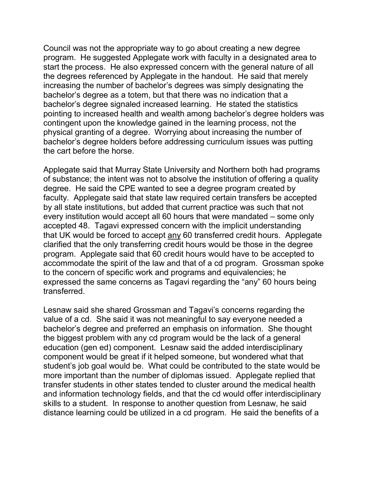Council was not the appropriate way to go about creating a new degree program. He suggested Applegate work with faculty in a designated area to start the process. He also expressed concern with the general nature of all the degrees referenced by Applegate in the handout. He said that merely increasing the number of bachelor's degrees was simply designating the bachelor's degree as a totem, but that there was no indication that a bachelor's degree signaled increased learning. He stated the statistics pointing to increased health and wealth among bachelor's degree holders was contingent upon the knowledge gained in the learning process, not the physical granting of a degree. Worrying about increasing the number of bachelor's degree holders before addressing curriculum issues was putting the cart before the horse.

Applegate said that Murray State University and Northern both had programs of substance; the intent was not to absolve the institution of offering a quality degree. He said the CPE wanted to see a degree program created by faculty. Applegate said that state law required certain transfers be accepted by all state institutions, but added that current practice was such that not every institution would accept all 60 hours that were mandated – some only accepted 48. Tagavi expressed concern with the implicit understanding that UK would be forced to accept any 60 transferred credit hours. Applegate clarified that the only transferring credit hours would be those in the degree program. Applegate said that 60 credit hours would have to be accepted to accommodate the spirit of the law and that of a cd program. Grossman spoke to the concern of specific work and programs and equivalencies; he expressed the same concerns as Tagavi regarding the "any" 60 hours being transferred.

Lesnaw said she shared Grossman and Tagavi's concerns regarding the value of a cd. She said it was not meaningful to say everyone needed a bachelor's degree and preferred an emphasis on information. She thought the biggest problem with any cd program would be the lack of a general education (gen ed) component. Lesnaw said the added interdisciplinary component would be great if it helped someone, but wondered what that student's job goal would be. What could be contributed to the state would be more important than the number of diplomas issued. Applegate replied that transfer students in other states tended to cluster around the medical health and information technology fields, and that the cd would offer interdisciplinary skills to a student. In response to another question from Lesnaw, he said distance learning could be utilized in a cd program. He said the benefits of a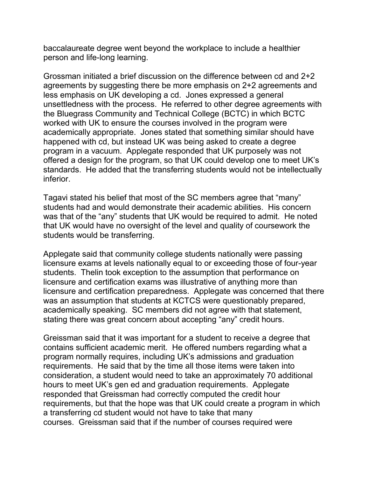baccalaureate degree went beyond the workplace to include a healthier person and life-long learning.

Grossman initiated a brief discussion on the difference between cd and 2+2 agreements by suggesting there be more emphasis on 2+2 agreements and less emphasis on UK developing a cd. Jones expressed a general unsettledness with the process. He referred to other degree agreements with the Bluegrass Community and Technical College (BCTC) in which BCTC worked with UK to ensure the courses involved in the program were academically appropriate. Jones stated that something similar should have happened with cd, but instead UK was being asked to create a degree program in a vacuum. Applegate responded that UK purposely was not offered a design for the program, so that UK could develop one to meet UK's standards. He added that the transferring students would not be intellectually inferior.

Tagavi stated his belief that most of the SC members agree that "many" students had and would demonstrate their academic abilities. His concern was that of the "any" students that UK would be required to admit. He noted that UK would have no oversight of the level and quality of coursework the students would be transferring.

Applegate said that community college students nationally were passing licensure exams at levels nationally equal to or exceeding those of four-year students. Thelin took exception to the assumption that performance on licensure and certification exams was illustrative of anything more than licensure and certification preparedness. Applegate was concerned that there was an assumption that students at KCTCS were questionably prepared, academically speaking. SC members did not agree with that statement, stating there was great concern about accepting "any" credit hours.

Greissman said that it was important for a student to receive a degree that contains sufficient academic merit. He offered numbers regarding what a program normally requires, including UK's admissions and graduation requirements. He said that by the time all those items were taken into consideration, a student would need to take an approximately 70 additional hours to meet UK's gen ed and graduation requirements. Applegate responded that Greissman had correctly computed the credit hour requirements, but that the hope was that UK could create a program in which a transferring cd student would not have to take that many courses. Greissman said that if the number of courses required were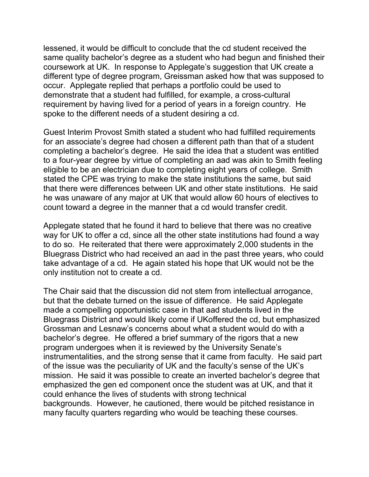lessened, it would be difficult to conclude that the cd student received the same quality bachelor's degree as a student who had begun and finished their coursework at UK. In response to Applegate's suggestion that UK create a different type of degree program, Greissman asked how that was supposed to occur. Applegate replied that perhaps a portfolio could be used to demonstrate that a student had fulfilled, for example, a cross-cultural requirement by having lived for a period of years in a foreign country. He spoke to the different needs of a student desiring a cd.

Guest Interim Provost Smith stated a student who had fulfilled requirements for an associate's degree had chosen a different path than that of a student completing a bachelor's degree. He said the idea that a student was entitled to a four-year degree by virtue of completing an aad was akin to Smith feeling eligible to be an electrician due to completing eight years of college. Smith stated the CPE was trying to make the state institutions the same, but said that there were differences between UK and other state institutions. He said he was unaware of any major at UK that would allow 60 hours of electives to count toward a degree in the manner that a cd would transfer credit.

Applegate stated that he found it hard to believe that there was no creative way for UK to offer a cd, since all the other state institutions had found a way to do so. He reiterated that there were approximately 2,000 students in the Bluegrass District who had received an aad in the past three years, who could take advantage of a cd. He again stated his hope that UK would not be the only institution not to create a cd.

The Chair said that the discussion did not stem from intellectual arrogance, but that the debate turned on the issue of difference. He said Applegate made a compelling opportunistic case in that aad students lived in the Bluegrass District and would likely come if UKoffered the cd, but emphasized Grossman and Lesnaw's concerns about what a student would do with a bachelor's degree. He offered a brief summary of the rigors that a new program undergoes when it is reviewed by the University Senate's instrumentalities, and the strong sense that it came from faculty. He said part of the issue was the peculiarity of UK and the faculty's sense of the UK's mission. He said it was possible to create an inverted bachelor's degree that emphasized the gen ed component once the student was at UK, and that it could enhance the lives of students with strong technical backgrounds. However, he cautioned, there would be pitched resistance in many faculty quarters regarding who would be teaching these courses.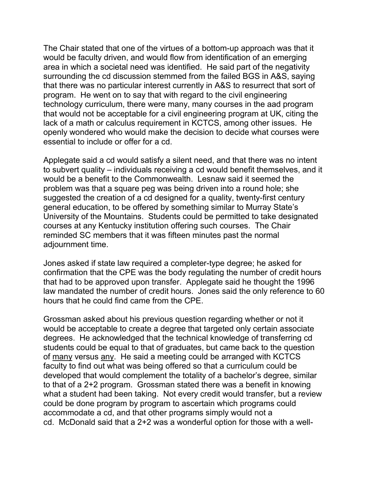The Chair stated that one of the virtues of a bottom-up approach was that it would be faculty driven, and would flow from identification of an emerging area in which a societal need was identified. He said part of the negativity surrounding the cd discussion stemmed from the failed BGS in A&S, saying that there was no particular interest currently in A&S to resurrect that sort of program. He went on to say that with regard to the civil engineering technology curriculum, there were many, many courses in the aad program that would not be acceptable for a civil engineering program at UK, citing the lack of a math or calculus requirement in KCTCS, among other issues. He openly wondered who would make the decision to decide what courses were essential to include or offer for a cd.

Applegate said a cd would satisfy a silent need, and that there was no intent to subvert quality – individuals receiving a cd would benefit themselves, and it would be a benefit to the Commonwealth. Lesnaw said it seemed the problem was that a square peg was being driven into a round hole; she suggested the creation of a cd designed for a quality, twenty-first century general education, to be offered by something similar to Murray State's University of the Mountains. Students could be permitted to take designated courses at any Kentucky institution offering such courses. The Chair reminded SC members that it was fifteen minutes past the normal adjournment time.

Jones asked if state law required a completer-type degree; he asked for confirmation that the CPE was the body regulating the number of credit hours that had to be approved upon transfer. Applegate said he thought the 1996 law mandated the number of credit hours. Jones said the only reference to 60 hours that he could find came from the CPE.

Grossman asked about his previous question regarding whether or not it would be acceptable to create a degree that targeted only certain associate degrees. He acknowledged that the technical knowledge of transferring cd students could be equal to that of graduates, but came back to the question of many versus any. He said a meeting could be arranged with KCTCS faculty to find out what was being offered so that a curriculum could be developed that would complement the totality of a bachelor's degree, similar to that of a 2+2 program. Grossman stated there was a benefit in knowing what a student had been taking. Not every credit would transfer, but a review could be done program by program to ascertain which programs could accommodate a cd, and that other programs simply would not a cd. McDonald said that a 2+2 was a wonderful option for those with a well-